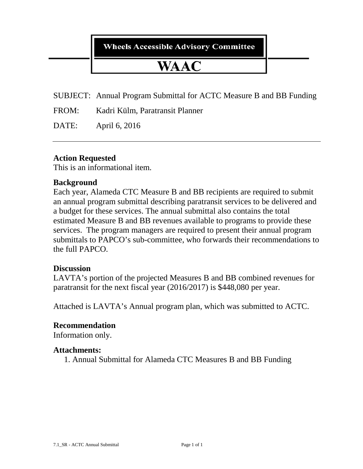**Wheels Accessible Advisory Committee** 

# WAAC

SUBJECT: Annual Program Submittal for ACTC Measure B and BB Funding

FROM: Kadri Külm, Paratransit Planner

DATE: April 6, 2016

### **Action Requested**

This is an informational item.

### **Background**

Each year, Alameda CTC Measure B and BB recipients are required to submit an annual program submittal describing paratransit services to be delivered and a budget for these services. The annual submittal also contains the total estimated Measure B and BB revenues available to programs to provide these services. The program managers are required to present their annual program submittals to PAPCO's sub-committee, who forwards their recommendations to the full PAPCO.

#### **Discussion**

LAVTA's portion of the projected Measures B and BB combined revenues for paratransit for the next fiscal year (2016/2017) is \$448,080 per year.

Attached is LAVTA's Annual program plan, which was submitted to ACTC.

#### **Recommendation**

Information only.

#### **Attachments:**

1. Annual Submittal for Alameda CTC Measures B and BB Funding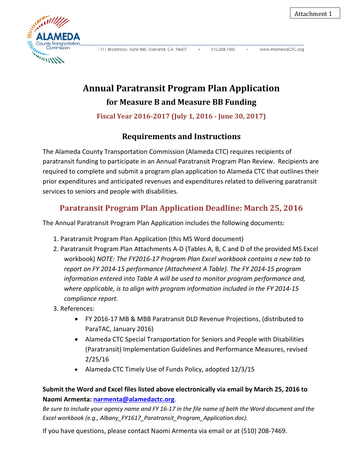

1111 Broadway, Suite 800, Oakland, CA 94607

510,208,7400

www.AlamedaCTC.org

## **Annual Paratransit Program Plan Application for Measure B and Measure BB Funding**

**Fiscal Year 2016-2017 (July 1, 2016 - June 30, 2017)**

## **Requirements and Instructions**

The Alameda County Transportation Commission (Alameda CTC) requires recipients of paratransit funding to participate in an Annual Paratransit Program Plan Review. Recipients are required to complete and submit a program plan application to Alameda CTC that outlines their prior expenditures and anticipated revenues and expenditures related to delivering paratransit services to seniors and people with disabilities.

## **Paratransit Program Plan Application Deadline: March 25, 2016**

The Annual Paratransit Program Plan Application includes the following documents:

- 1. Paratransit Program Plan Application (this MS Word document)
- 2. Paratransit Program Plan Attachments A-D (Tables A, B, C and D of the provided MS Excel workbook) *NOTE: The FY2016-17 Program Plan Excel workbook contains a new tab to report on FY 2014-15 performance (Attachment A Table). The FY 2014-15 program information entered into Table A will be used to monitor program performance and, where applicable, is to align with program information included in the FY 2014-15 compliance report.*
- 3. References:
	- FY 2016-17 MB & MBB Paratransit DLD Revenue Projections, (distributed to ParaTAC, January 2016)
	- Alameda CTC Special Transportation for Seniors and People with Disabilities (Paratransit) Implementation Guidelines and Performance Measures, revised 2/25/16
	- Alameda CTC Timely Use of Funds Policy, adopted 12/3/15

### **Submit the Word and Excel files listed above electronically via email by March 25, 2016 to Naomi Armenta: [narmenta@alamedactc.org](mailto:narmenta@alamedactc.org)**.

*Be sure to include your agency name and FY 16-17 in the file name of both the Word document and the Excel workbook (e.g., Albany\_FY1617\_Paratransit\_Program\_Application.doc).*

If you have questions, please contact Naomi Armenta via email or at (510) 208-7469.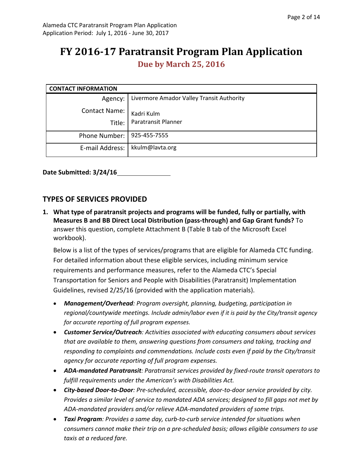## **FY 2016-17 Paratransit Program Plan Application**

**Due by March 25, 2016**

| <b>CONTACT INFORMATION</b>     |                                                     |
|--------------------------------|-----------------------------------------------------|
|                                | Agency:   Livermore Amador Valley Transit Authority |
| <b>Contact Name:</b><br>Title: | Kadri Kulm<br>Paratransit Planner                   |
| Phone Number:   925-455-7555   |                                                     |
| E-mail Address:                | kkulm@lavta.org                                     |

**Date Submitted: 3/24/16**

#### **TYPES OF SERVICES PROVIDED**

**1. What type of paratransit projects and programs will be funded, fully or partially, with Measures B and BB Direct Local Distribution (pass-through) and Gap Grant funds?** To answer this question, complete Attachment B (Table B tab of the Microsoft Excel workbook).

Below is a list of the types of services/programs that are eligible for Alameda CTC funding. For detailed information about these eligible services, including minimum service requirements and performance measures, refer to the Alameda CTC's Special Transportation for Seniors and People with Disabilities (Paratransit) Implementation Guidelines, revised 2/25/16 (provided with the application materials).

- *Management/Overhead: Program oversight, planning, budgeting, participation in regional/countywide meetings. Include admin/labor even if it is paid by the City/transit agency for accurate reporting of full program expenses.*
- *Customer Service/Outreach: Activities associated with educating consumers about services that are available to them, answering questions from consumers and taking, tracking and responding to complaints and commendations. Include costs even if paid by the City/transit agency for accurate reporting of full program expenses.*
- *ADA-mandated Paratransit: Paratransit services provided by fixed-route transit operators to fulfill requirements under the American's with Disabilities Act.*
- *City-based Door-to-Door: Pre-scheduled, accessible, door-to-door service provided by city. Provides a similar level of service to mandated ADA services; designed to fill gaps not met by ADA-mandated providers and/or relieve ADA-mandated providers of some trips.*
- *Taxi Program: Provides a same day, curb-to-curb service intended for situations when consumers cannot make their trip on a pre-scheduled basis; allows eligible consumers to use taxis at a reduced fare.*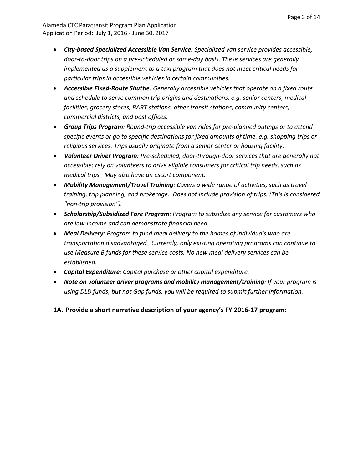- *City-based Specialized Accessible Van Service: Specialized van service provides accessible, door-to-door trips on a pre-scheduled or same-day basis. These services are generally implemented as a supplement to a taxi program that does not meet critical needs for particular trips in accessible vehicles in certain communities.*
- *Accessible Fixed-Route Shuttle: Generally accessible vehicles that operate on a fixed route and schedule to serve common trip origins and destinations, e.g. senior centers, medical facilities, grocery stores, BART stations, other transit stations, community centers, commercial districts, and post offices.*
- *Group Trips Program: Round-trip accessible van rides for pre-planned outings or to attend specific events or go to specific destinations for fixed amounts of time, e.g. shopping trips or religious services. Trips usually originate from a senior center or housing facility.*
- *Volunteer Driver Program: Pre-scheduled, door-through-door services that are generally not accessible; rely on volunteers to drive eligible consumers for critical trip needs, such as medical trips. May also have an escort component.*
- *Mobility Management/Travel Training: Covers a wide range of activities, such as travel training, trip planning, and brokerage. Does not include provision of trips. (This is considered "non-trip provision").*
- *Scholarship/Subsidized Fare Program: Program to subsidize any service for customers who are low-income and can demonstrate financial need.*
- *Meal Delivery: Program to fund meal delivery to the homes of individuals who are transportation disadvantaged. Currently, only existing operating programs can continue to use Measure B funds for these service costs. No new meal delivery services can be established.*
- *Capital Expenditure: Capital purchase or other capital expenditure.*
- *Note on volunteer driver programs and mobility management/training: If your program is using DLD funds, but not Gap funds, you will be required to submit further information.*
- **1A. Provide a short narrative description of your agency's FY 2016-17 program:**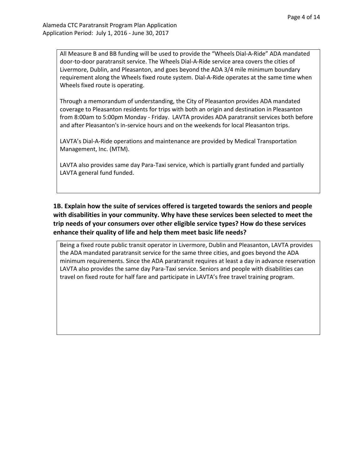All Measure B and BB funding will be used to provide the "Wheels Dial-A-Ride" ADA mandated door-to-door paratransit service. The Wheels Dial-A-Ride service area covers the cities of Livermore, Dublin, and Pleasanton, and goes beyond the ADA 3/4 mile minimum boundary requirement along the Wheels fixed route system. Dial-A-Ride operates at the same time when Wheels fixed route is operating.

Through a memorandum of understanding, the City of Pleasanton provides ADA mandated coverage to Pleasanton residents for trips with both an origin and destination in Pleasanton from 8:00am to 5:00pm Monday - Friday. LAVTA provides ADA paratransit services both before and after Pleasanton's in-service hours and on the weekends for local Pleasanton trips.

LAVTA's Dial-A-Ride operations and maintenance are provided by Medical Transportation Management, Inc. (MTM).

LAVTA also provides same day Para-Taxi service, which is partially grant funded and partially LAVTA general fund funded.

**1B. Explain how the suite of services offered is targeted towards the seniors and people with disabilities in your community. Why have these services been selected to meet the trip needs of your consumers over other eligible service types? How do these services enhance their quality of life and help them meet basic life needs?** 

Being a fixed route public transit operator in Livermore, Dublin and Pleasanton, LAVTA provides the ADA mandated paratransit service for the same three cities, and goes beyond the ADA minimum requirements. Since the ADA paratransit requires at least a day in advance reservation LAVTA also provides the same day Para-Taxi service. Seniors and people with disabilities can travel on fixed route for half fare and participate in LAVTA's free travel training program.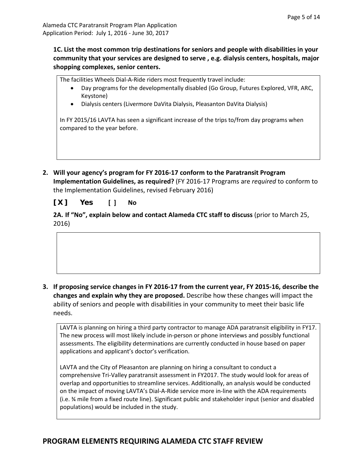**1C. List the most common trip destinations for seniors and people with disabilities in your community that your services are designed to serve , e.g. dialysis centers, hospitals, major shopping complexes, senior centers.** 

The facilities Wheels Dial-A-Ride riders most frequently travel include:

- Day programs for the developmentally disabled (Go Group, Futures Explored, VFR, ARC, Keystone)
- Dialysis centers (Livermore DaVita Dialysis, Pleasanton DaVita Dialysis)

In FY 2015/16 LAVTA has seen a significant increase of the trips to/from day programs when compared to the year before.

**2. Will your agency's program for FY 2016-17 conform to the Paratransit Program Implementation Guidelines, as required?** (FY 2016-17 Programs are *required* to conform to the Implementation Guidelines, revised February 2016)

**[ X ] Yes [ ] No** 

**2A. If "No", explain below and contact Alameda CTC staff to discuss** (prior to March 25, 2016)

**3. If proposing service changes in FY 2016-17 from the current year, FY 2015-16, describe the changes and explain why they are proposed.** Describe how these changes will impact the ability of seniors and people with disabilities in your community to meet their basic life needs.

LAVTA is planning on hiring a third party contractor to manage ADA paratransit eligibility in FY17. The new process will most likely include in-person or phone interviews and possibly functional assessments. The eligibility determinations are currently conducted in house based on paper applications and applicant's doctor's verification.

LAVTA and the City of Pleasanton are planning on hiring a consultant to conduct a comprehensive Tri-Valley paratransit assessment in FY2017. The study would look for areas of overlap and opportunities to streamline services. Additionally, an analysis would be conducted on the impact of moving LAVTA's Dial-A-Ride service more in-line with the ADA requirements (i.e. ¾ mile from a fixed route line). Significant public and stakeholder input (senior and disabled populations) would be included in the study.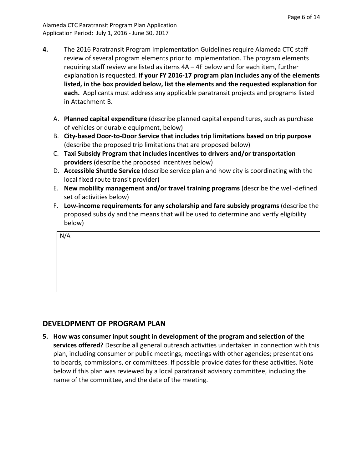Alameda CTC Paratransit Program Plan Application Application Period: July 1, 2016 - June 30, 2017

- **4.** The 2016 Paratransit Program Implementation Guidelines require Alameda CTC staff review of several program elements prior to implementation. The program elements requiring staff review are listed as items 4A – 4F below and for each item, further explanation is requested. **If your FY 2016-17 program plan includes any of the elements listed, in the box provided below, list the elements and the requested explanation for each.** Applicants must address any applicable paratransit projects and programs listed in Attachment B.
	- A. **Planned capital expenditure** (describe planned capital expenditures, such as purchase of vehicles or durable equipment, below)
	- B. **City-based Door-to-Door Service that includes trip limitations based on trip purpose** (describe the proposed trip limitations that are proposed below)
	- C. **Taxi Subsidy Program that includes incentives to drivers and/or transportation providers** (describe the proposed incentives below)
	- D. **Accessible Shuttle Service** (describe service plan and how city is coordinating with the local fixed route transit provider)
	- E. **New mobility management and/or travel training programs** (describe the well-defined set of activities below)
	- F. **Low-income requirements for any scholarship and fare subsidy programs** (describe the proposed subsidy and the means that will be used to determine and verify eligibility below)

N/A

#### **DEVELOPMENT OF PROGRAM PLAN**

**5. How was consumer input sought in development of the program and selection of the services offered?** Describe all general outreach activities undertaken in connection with this plan, including consumer or public meetings; meetings with other agencies; presentations to boards, commissions, or committees. If possible provide dates for these activities. Note below if this plan was reviewed by a local paratransit advisory committee, including the name of the committee, and the date of the meeting.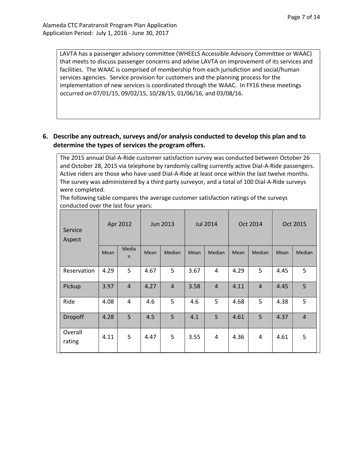LAVTA has a passenger advisory committee (WHEELS Accessible Advisory Committee or WAAC) that meets to discuss passenger concerns and advise LAVTA on improvement of its services and facilities. The WAAC is comprised of membership from each jurisdiction and social/human services agencies. Service provision for customers and the planning process for the implementation of new services is coordinated through the WAAC. In FY16 these meetings occurred on 07/01/15, 09/02/15, 10/28/15, 01/06/16, and 03/08/16.

#### **6. Describe any outreach, surveys and/or analysis conducted to develop this plan and to determine the types of services the program offers.**

The 2015 annual Dial-A-Ride customer satisfaction survey was conducted between October 26 and October 28, 2015 via telephone by randomly calling currently active Dial-A-Ride passengers. Active riders are those who have used Dial-A-Ride at least once within the last twelve months. The survey was administered by a third party surveyor, and a total of 100 Dial-A-Ride surveys were completed.

The following table compares the average customer satisfaction ratings of the surveys conducted over the last four years:

| Service<br>Aspect | Apr 2012 |                       | Jun 2013 |                | <b>Jul 2014</b> |                | Oct 2014 |                | Oct 2015 |                |
|-------------------|----------|-----------------------|----------|----------------|-----------------|----------------|----------|----------------|----------|----------------|
|                   | Mean     | Media<br>$\mathsf{n}$ | Mean     | Median         | Mean            | Median         | Mean     | Median         | Mean     | Median         |
| Reservation       | 4.29     | 5                     | 4.67     | 5              | 3.67            | $\overline{4}$ | 4.29     | 5              | 4.45     | 5              |
| Pickup            | 3.97     | $\overline{4}$        | 4.27     | $\overline{4}$ | 3.58            | $\overline{4}$ | 4.11     | $\overline{4}$ | 4.45     | 5              |
| Ride              | 4.08     | 4                     | 4.6      | 5              | 4.6             | 5              | 4.68     | 5              | 4.38     | 5              |
| Dropoff           | 4.28     | 5                     | 4.5      | 5              | 4.1             | 5              | 4.61     | 5              | 4.37     | $\overline{4}$ |
| Overall<br>rating | 4.11     | 5                     | 4.47     | 5              | 3.55            | $\overline{4}$ | 4.36     | 4              | 4.61     | 5              |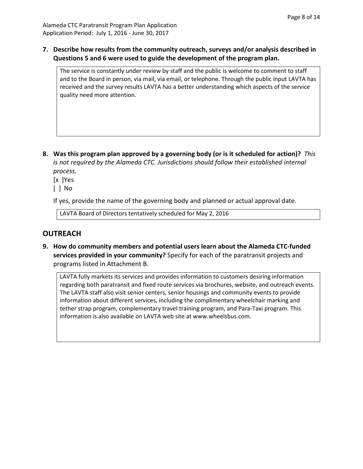**7. Describe how results from the community outreach, surveys and/or analysis described in Questions 5 and 6 were used to guide the development of the program plan.**

The service is constantly under review by staff and the public is welcome to comment to staff and to the Board in person, via mail, via email, or telephone. Through the public input LAVTA has received and the survey results LAVTA has a better understanding which aspects of the service quality need more attention.

**8. Was this program plan approved by a governing body (or is it scheduled for action)?** *This is not required by the Alameda CTC. Jurisdictions should follow their established internal process.*

[x ]Yes

[ ] No

If yes, provide the name of the governing body and planned or actual approval date.

LAVTA Board of Directors tentatively scheduled for May 2, 2016

#### **OUTREACH**

**9. How do community members and potential users learn about the Alameda CTC-funded services provided in your community?** Specify for each of the paratransit projects and programs listed in Attachment B.

LAVTA fully markets its services and provides information to customers desiring information regarding both paratransit and fixed route services via brochures, website, and outreach events. The LAVTA staff also visit senior centers, senior housings and community events to provide information about different services, including the complimentary wheelchair marking and tether strap program, complementary travel training program, and Para-Taxi program. This information is also available on LAVTA web site at [www.wheelsbus.com.](http://www.wheelsbus.com/)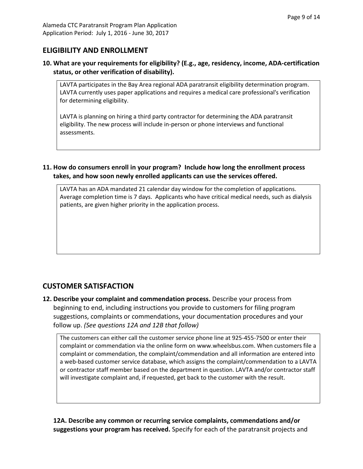#### **ELIGIBILITY AND ENROLLMENT**

#### **10. What are your requirements for eligibility? (E.g., age, residency, income, ADA-certification status, or other verification of disability).**

LAVTA participates in the Bay Area regional ADA paratransit eligibility determination program. LAVTA currently uses paper applications and requires a medical care professional's verification for determining eligibility.

LAVTA is planning on hiring a third party contractor for determining the ADA paratransit eligibility. The new process will include in-person or phone interviews and functional assessments.

**11. How do consumers enroll in your program? Include how long the enrollment process takes, and how soon newly enrolled applicants can use the services offered.**

LAVTA has an ADA mandated 21 calendar day window for the completion of applications. Average completion time is 7 days. Applicants who have critical medical needs, such as dialysis patients, are given higher priority in the application process.

#### **CUSTOMER SATISFACTION**

**12. Describe your complaint and commendation process.** Describe your process from beginning to end, including instructions you provide to customers for filing program suggestions, complaints or commendations, your documentation procedures and your follow up. *(See questions 12A and 12B that follow)*

The customers can either call the customer service phone line at 925-455-7500 or enter their complaint or commendation via the online form on www.wheelsbus.com. When customers file a complaint or commendation, the complaint/commendation and all information are entered into a web-based customer service database, which assigns the complaint/commendation to a LAVTA or contractor staff member based on the department in question. LAVTA and/or contractor staff will investigate complaint and, if requested, get back to the customer with the result.

**12A. Describe any common or recurring service complaints, commendations and/or suggestions your program has received.** Specify for each of the paratransit projects and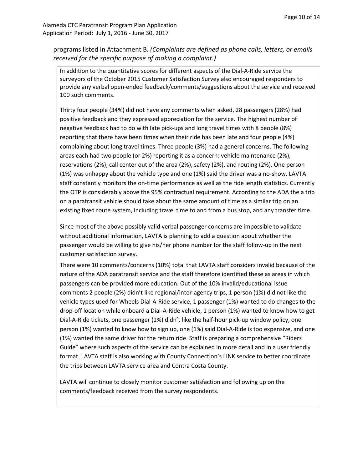Alameda CTC Paratransit Program Plan Application Application Period: July 1, 2016 - June 30, 2017

programs listed in Attachment B. *(Complaints are defined as phone calls, letters, or emails received for the specific purpose of making a complaint.)*

In addition to the quantitative scores for different aspects of the Dial-A-Ride service the surveyors of the October 2015 Customer Satisfaction Survey also encouraged responders to provide any verbal open-ended feedback/comments/suggestions about the service and received 100 such comments.

Thirty four people (34%) did not have any comments when asked, 28 passengers (28%) had positive feedback and they expressed appreciation for the service. The highest number of negative feedback had to do with late pick-ups and long travel times with 8 people (8%) reporting that there have been times when their ride has been late and four people (4%) complaining about long travel times. Three people (3%) had a general concerns. The following areas each had two people (or 2%) reporting it as a concern: vehicle maintenance (2%), reservations (2%), call center out of the area (2%), safety (2%), and routing (2%). One person (1%) was unhappy about the vehicle type and one (1%) said the driver was a no-show. LAVTA staff constantly monitors the on-time performance as well as the ride length statistics. Currently the OTP is considerably above the 95% contractual requirement. According to the ADA the a trip on a paratransit vehicle should take about the same amount of time as a similar trip on an existing fixed route system, including travel time to and from a bus stop, and any transfer time.

Since most of the above possibly valid verbal passenger concerns are impossible to validate without additional information, LAVTA is planning to add a question about whether the passenger would be willing to give his/her phone number for the staff follow-up in the next customer satisfaction survey.

There were 10 comments/concerns (10%) total that LAVTA staff considers invalid because of the nature of the ADA paratransit service and the staff therefore identified these as areas in which passengers can be provided more education. Out of the 10% invalid/educational issue comments 2 people (2%) didn't like regional/inter-agency trips, 1 person (1%) did not like the vehicle types used for Wheels Dial-A-Ride service, 1 passenger (1%) wanted to do changes to the drop-off location while onboard a Dial-A-Ride vehicle, 1 person (1%) wanted to know how to get Dial-A-Ride tickets, one passenger (1%) didn't like the half-hour pick-up window policy, one person (1%) wanted to know how to sign up, one (1%) said Dial-A-Ride is too expensive, and one (1%) wanted the same driver for the return ride. Staff is preparing a comprehensive "Riders Guide" where such aspects of the service can be explained in more detail and in a user friendly format. LAVTA staff is also working with County Connection's LINK service to better coordinate the trips between LAVTA service area and Contra Costa County.

LAVTA will continue to closely monitor customer satisfaction and following up on the comments/feedback received from the survey respondents.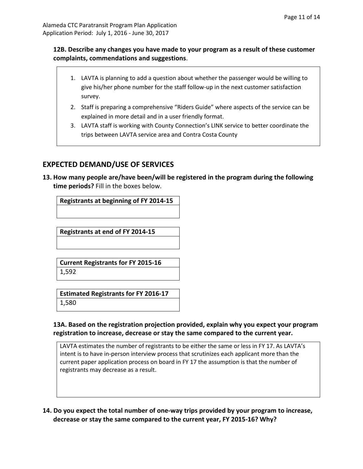#### **12B. Describe any changes you have made to your program as a result of these customer complaints, commendations and suggestions**.

- 1. LAVTA is planning to add a question about whether the passenger would be willing to give his/her phone number for the staff follow-up in the next customer satisfaction survey.
- 2. Staff is preparing a comprehensive "Riders Guide" where aspects of the service can be explained in more detail and in a user friendly format.
- 3. LAVTA staff is working with County Connection's LINK service to better coordinate the trips between LAVTA service area and Contra Costa County

#### **EXPECTED DEMAND/USE OF SERVICES**

**13. How many people are/have been/will be registered in the program during the following time periods?** Fill in the boxes below.

**Registrants at beginning of FY 2014-15**

**Registrants at end of FY 2014-15**

**Current Registrants for FY 2015-16** 1,592

**Estimated Registrants for FY 2016-17** 1,580

#### **13A. Based on the registration projection provided, explain why you expect your program registration to increase, decrease or stay the same compared to the current year.**

LAVTA estimates the number of registrants to be either the same or less in FY 17. As LAVTA's intent is to have in-person interview process that scrutinizes each applicant more than the current paper application process on board in FY 17 the assumption is that the number of registrants may decrease as a result.

**14. Do you expect the total number of one-way trips provided by your program to increase, decrease or stay the same compared to the current year, FY 2015-16? Why?**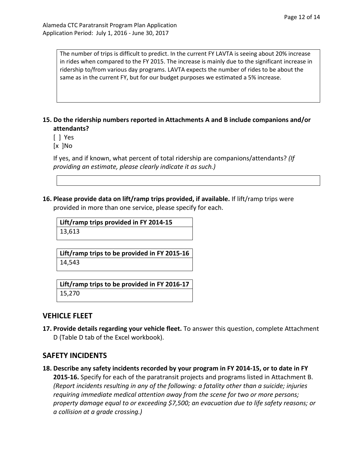The number of trips is difficult to predict. In the current FY LAVTA is seeing about 20% increase in rides when compared to the FY 2015. The increase is mainly due to the significant increase in ridership to/from various day programs. LAVTA expects the number of rides to be about the same as in the current FY, but for our budget purposes we estimated a 5% increase.

#### **15. Do the ridership numbers reported in Attachments A and B include companions and/or attendants?**

- [ ] Yes
- [x ]No

If yes, and if known, what percent of total ridership are companions/attendants? *(If providing an estimate, please clearly indicate it as such.)*

**16. Please provide data on lift/ramp trips provided, if available.** If lift/ramp trips were provided in more than one service, please specify for each.

**Lift/ramp trips provided in FY 2014-15** 13,613

**Lift/ramp trips to be provided in FY 2015-16** 14,543

**Lift/ramp trips to be provided in FY 2016-17** 15,270

#### **VEHICLE FLEET**

**17. Provide details regarding your vehicle fleet.** To answer this question, complete Attachment D (Table D tab of the Excel workbook).

#### **SAFETY INCIDENTS**

**18. Describe any safety incidents recorded by your program in FY 2014-15, or to date in FY 2015-16.** Specify for each of the paratransit projects and programs listed in Attachment B. *(Report incidents resulting in any of the following: a fatality other than a suicide; injuries requiring immediate medical attention away from the scene for two or more persons; property damage equal to or exceeding \$7,500; an evacuation due to life safety reasons; or a collision at a grade crossing.)*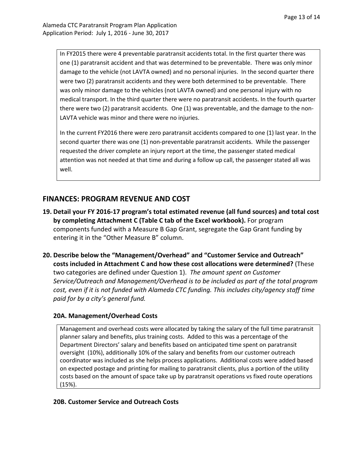In FY2015 there were 4 preventable paratransit accidents total. In the first quarter there was one (1) paratransit accident and that was determined to be preventable. There was only minor damage to the vehicle (not LAVTA owned) and no personal injuries. In the second quarter there were two (2) paratransit accidents and they were both determined to be preventable. There was only minor damage to the vehicles (not LAVTA owned) and one personal injury with no medical transport. In the third quarter there were no paratransit accidents. In the fourth quarter there were two (2) paratransit accidents. One (1) was preventable, and the damage to the non-LAVTA vehicle was minor and there were no injuries.

In the current FY2016 there were zero paratransit accidents compared to one (1) last year. In the second quarter there was one (1) non-preventable paratransit accidents. While the passenger requested the driver complete an injury report at the time, the passenger stated medical attention was not needed at that time and during a follow up call, the passenger stated all was well.

#### **FINANCES: PROGRAM REVENUE AND COST**

- **19. Detail your FY 2016-17 program's total estimated revenue (all fund sources) and total cost by completing Attachment C (Table C tab of the Excel workbook).** For program components funded with a Measure B Gap Grant, segregate the Gap Grant funding by entering it in the "Other Measure B" column.
- **20. Describe below the "Management/Overhead" and "Customer Service and Outreach" costs included in Attachment C and how these cost allocations were determined?** (These two categories are defined under Question 1). *The amount spent on Customer Service/Outreach and Management/Overhead is to be included as part of the total program cost, even if it is not funded with Alameda CTC funding. This includes city/agency staff time paid for by a city's general fund.*

#### **20A. Management/Overhead Costs**

Management and overhead costs were allocated by taking the salary of the full time paratransit planner salary and benefits, plus training costs. Added to this was a percentage of the Department Directors' salary and benefits based on anticipated time spent on paratransit oversight (10%), additionally 10% of the salary and benefits from our customer outreach coordinator was included as she helps process applications. Additional costs were added based on expected postage and printing for mailing to paratransit clients, plus a portion of the utility costs based on the amount of space take up by paratransit operations vs fixed route operations (15%).

#### **20B. Customer Service and Outreach Costs**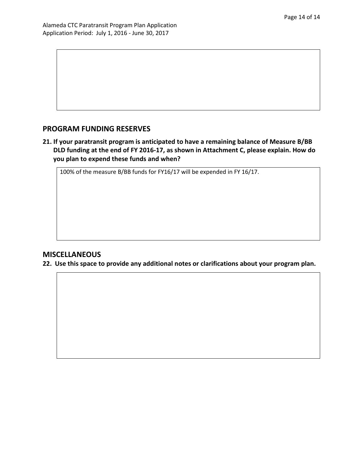#### **PROGRAM FUNDING RESERVES**

**21. If your paratransit program is anticipated to have a remaining balance of Measure B/BB DLD funding at the end of FY 2016-17, as shown in Attachment C, please explain. How do you plan to expend these funds and when?**

100% of the measure B/BB funds for FY16/17 will be expended in FY 16/17.

#### **MISCELLANEOUS**

**22. Use this space to provide any additional notes or clarifications about your program plan.**